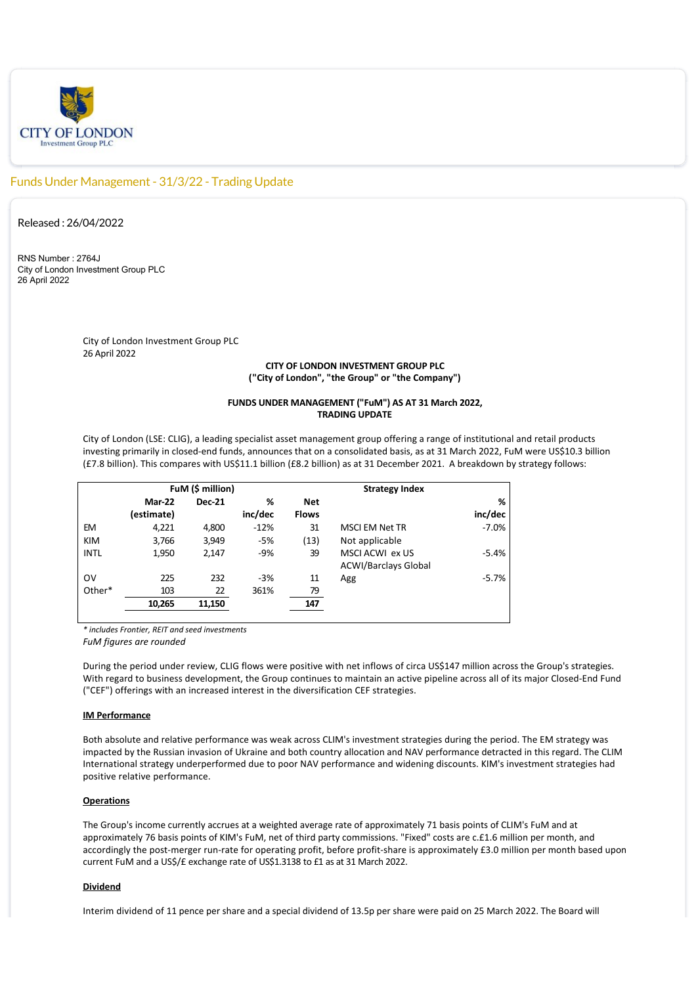

# Funds Under Management - 31/3/22 - Trading Update

Released : 26/04/2022

RNS Number : 2764J City of London Investment Group PLC 26 April 2022

> City of London Investment Group PLC 26 April 2022

## **CITY OF LONDON INVESTMENT GROUP PLC ("City of London", "the Group" or "the Company")**

### **FUNDS UNDER MANAGEMENT ("FuM") AS AT 31 March 2022, TRADING UPDATE**

City of London (LSE: CLIG), a leading specialist asset management group offering a range of institutional and retail products investing primarily in closed‐end funds, announces that on a consolidated basis, as at 31 March 2022, FuM were US\$10.3 billion (£7.8 billion). This compares with US\$11.1 billion (£8.2 billion) as at 31 December 2021. A breakdown by strategy follows:

| FuM (\$ million) |               |         | <b>Strategy Index</b> |                             |         |
|------------------|---------------|---------|-----------------------|-----------------------------|---------|
| Mar-22           | <b>Dec-21</b> | %       | <b>Net</b>            |                             | %       |
| (estimate)       |               | inc/dec | <b>Flows</b>          |                             | inc/dec |
| 4,221            | 4,800         | $-12%$  | 31                    | <b>MSCI EM Net TR</b>       | $-7.0%$ |
| 3,766            | 3,949         | $-5%$   | (13)                  | Not applicable              |         |
| 1,950            | 2,147         | $-9%$   | 39                    | MSCI ACWI ex US             | $-5.4%$ |
|                  |               |         |                       | <b>ACWI/Barclays Global</b> |         |
| 225              | 232           | $-3%$   | 11                    | Agg                         | $-5.7%$ |
| 103              | 22            | 361%    | 79                    |                             |         |
| 10,265           | 11,150        |         | 147                   |                             |         |
|                  |               |         |                       |                             |         |

*\* includes Frontier, REIT and seed investments*

*FuM figures are rounded*

During the period under review, CLIG flows were positive with net inflows of circa US\$147 million across the Group's strategies. With regard to business development, the Group continues to maintain an active pipeline across all of its major Closed‐End Fund ("CEF") offerings with an increased interest in the diversification CEF strategies.

#### **IM Performance**

Both absolute and relative performance was weak across CLIM's investment strategies during the period. The EM strategy was impacted by the Russian invasion of Ukraine and both country allocation and NAV performance detracted in this regard. The CLIM International strategy underperformed due to poor NAV performance and widening discounts. KIM's investment strategies had positive relative performance.

### **Operations**

The Group's income currently accrues at a weighted average rate of approximately 71 basis points of CLIM's FuM and at approximately 76 basis points of KIM's FuM, net of third party commissions. "Fixed" costs are c.£1.6 million per month, and accordingly the post-merger run-rate for operating profit, before profit-share is approximately £3.0 million per month based upon current FuM and a US\$/£ exchange rate of US\$1.3138 to £1 as at 31 March 2022.

#### **Dividend**

Interim dividend of 11 pence per share and a special dividend of 13.5p per share were paid on 25 March 2022. The Board will